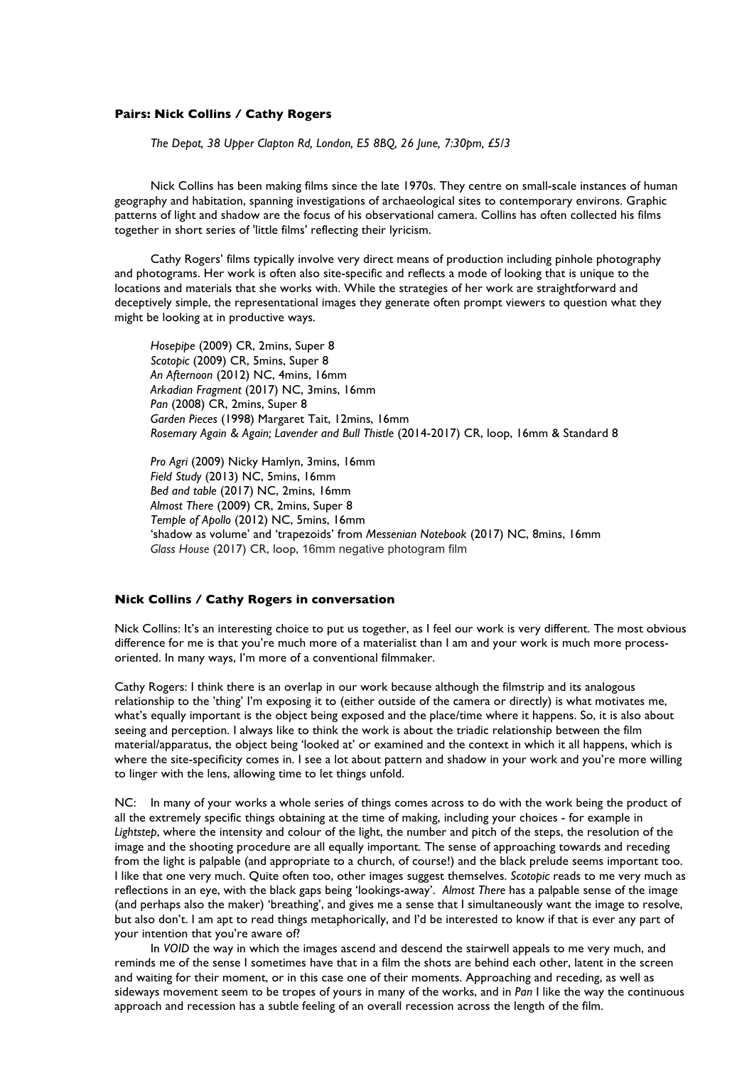## **Pairs: Nick Collins / Cathy Rogers**

*The Depot, 38 Upper Clapton Rd, London, E5 8BQ, 26 June, 7:30pm, £5/3*

Nick Collins has been making films since the late 1970s. They centre on small-scale instances of human geography and habitation, spanning investigations of archaeological sites to contemporary environs. Graphic patterns of light and shadow are the focus of his observational camera. Collins has often collected his films together in short series of 'little films' reflecting their lyricism.

Cathy Rogers' films typically involve very direct means of production including pinhole photography and photograms. Her work is often also site-specific and reflects a mode of looking that is unique to the locations and materials that she works with. While the strategies of her work are straightforward and deceptively simple, the representational images they generate often prompt viewers to question what they might be looking at in productive ways.

*Hosepipe* (2009) CR, 2mins, Super 8 *Scotopic* (2009) CR, 5mins, Super 8 *An Afternoon* (2012) NC, 4mins, 16mm *Arkadian Fragment* (2017) NC, 3mins, 16mm *Pan* (2008) CR, 2mins, Super 8 *Garden Pieces* (1998) Margaret Tait, 12mins, 16mm *Rosemary Again & Again; Lavender and Bull Thistle* (2014-2017) CR, loop, 16mm & Standard 8

*Pro Agri* (2009) Nicky Hamlyn, 3mins, 16mm *Field Study* (2013) NC, 5mins, 16mm *Bed and table* (2017) NC, 2mins, 16mm *Almost There* (2009) CR, 2mins, Super 8 *Temple of Apollo* (2012) NC, 5mins, 16mm 'shadow as volume' and 'trapezoids' from *Messenian Notebook* (2017) NC, 8mins, 16mm *Glass House* (2017) CR, loop, 16mm negative photogram film

## **Nick Collins / Cathy Rogers in conversation**

Nick Collins: It's an interesting choice to put us together, as I feel our work is very different. The most obvious difference for me is that you're much more of a materialist than I am and your work is much more processoriented. In many ways, I'm more of a conventional filmmaker.

Cathy Rogers: I think there is an overlap in our work because although the filmstrip and its analogous relationship to the 'thing' I'm exposing it to (either outside of the camera or directly) is what motivates me, what's equally important is the object being exposed and the place/time where it happens. So, it is also about seeing and perception. I always like to think the work is about the triadic relationship between the film material/apparatus, the object being 'looked at' or examined and the context in which it all happens, which is where the site-specificity comes in. I see a lot about pattern and shadow in your work and you're more willing to linger with the lens, allowing time to let things unfold.

NC: In many of your works a whole series of things comes across to do with the work being the product of all the extremely specific things obtaining at the time of making, including your choices - for example in *Lightstep*, where the intensity and colour of the light, the number and pitch of the steps, the resolution of the image and the shooting procedure are all equally important. The sense of approaching towards and receding from the light is palpable (and appropriate to a church, of course!) and the black prelude seems important too. I like that one very much. Quite often too, other images suggest themselves. *Scotopic* reads to me very much as reflections in an eye, with the black gaps being 'lookings-away'. *Almost There* has a palpable sense of the image (and perhaps also the maker) 'breathing', and gives me a sense that I simultaneously want the image to resolve, but also don't. I am apt to read things metaphorically, and I'd be interested to know if that is ever any part of your intention that you're aware of?

In *VOID* the way in which the images ascend and descend the stairwell appeals to me very much, and reminds me of the sense I sometimes have that in a film the shots are behind each other, latent in the screen and waiting for their moment, or in this case one of their moments. Approaching and receding, as well as sideways movement seem to be tropes of yours in many of the works, and in *Pan* I like the way the continuous approach and recession has a subtle feeling of an overall recession across the length of the film.